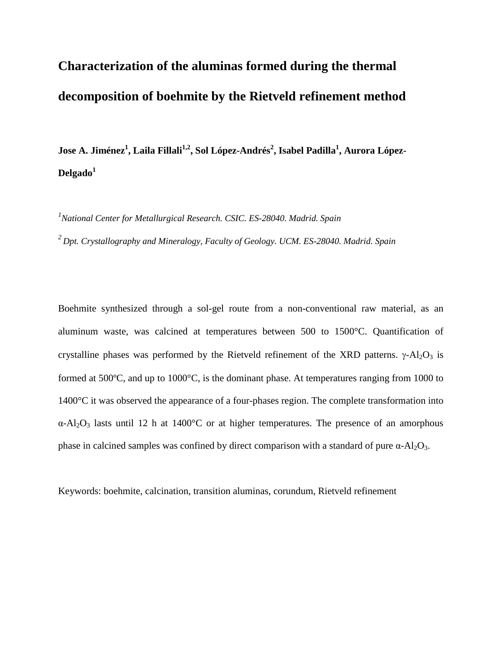# **Characterization of the aluminas formed during the thermal decomposition of boehmite by the Rietveld refinement method**

Jose A. Jiménez<sup>1</sup>, Laila Fillali<sup>1,2</sup>, Sol López-Andrés<sup>2</sup>, Isabel Padilla<sup>1</sup>, Aurora López-**Delgado1**

*1 National Center for Metallurgical Research. CSIC. ES-28040. Madrid. Spain*

*2 Dpt. Crystallography and Mineralogy, Faculty of Geology. UCM. ES-28040. Madrid. Spain*

Boehmite synthesized through a sol-gel route from a non-conventional raw material, as an aluminum waste, was calcined at temperatures between 500 to 1500°C. Quantification of crystalline phases was performed by the Rietveld refinement of the XRD patterns.  $\gamma$ -Al<sub>2</sub>O<sub>3</sub> is formed at 500ºC, and up to 1000°C, is the dominant phase. At temperatures ranging from 1000 to 1400°C it was observed the appearance of a four-phases region. The complete transformation into  $\alpha$ -Al<sub>2</sub>O<sub>3</sub> lasts until 12 h at 1400<sup>o</sup>C or at higher temperatures. The presence of an amorphous phase in calcined samples was confined by direct comparison with a standard of pure  $\alpha$ -Al<sub>2</sub>O<sub>3</sub>.

Keywords: boehmite, calcination, transition aluminas, corundum, Rietveld refinement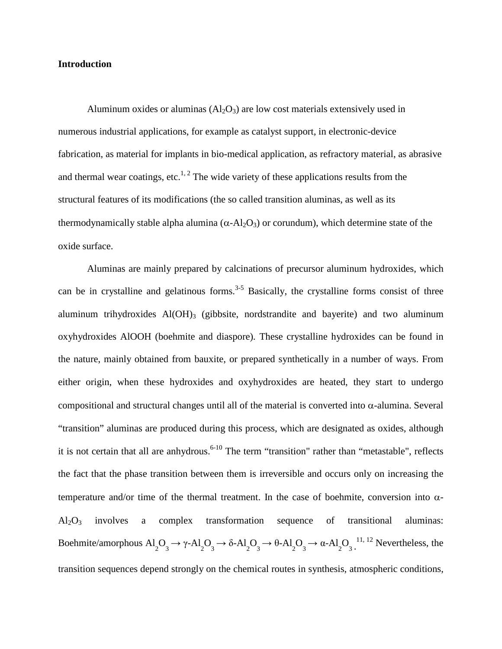# **Introduction**

Aluminum oxides or aluminas  $(A_2O_3)$  are low cost materials extensively used in numerous industrial applications, for example as catalyst support, in electronic-device fabrication, as material for implants in bio-medical application, as refractory material, as abrasive and thermal wear coatings, etc.<sup>1, 2</sup> The wide variety of these applications results from the structural features of its modifications (the so called transition aluminas, as well as its thermodynamically stable alpha alumina ( $\alpha$ -Al<sub>2</sub>O<sub>3</sub>) or corundum), which determine state of the oxide surface.

Aluminas are mainly prepared by calcinations of precursor aluminum hydroxides, which can be in crystalline and gelatinous forms.<sup>3-5</sup> Basically, the crystalline forms consist of three aluminum trihydroxides Al(OH)<sub>3</sub> (gibbsite, nordstrandite and bayerite) and two aluminum oxyhydroxides AlOOH (boehmite and diaspore). These crystalline hydroxides can be found in the nature, mainly obtained from bauxite, or prepared synthetically in a number of ways. From either origin, when these hydroxides and oxyhydroxides are heated, they start to undergo compositional and structural changes until all of the material is converted into α-alumina. Several "transition" aluminas are produced during this process, which are designated as oxides, although it is not certain that all are anhydrous.<sup>6-10</sup> The term "transition" rather than "metastable", reflects the fact that the phase transition between them is irreversible and occurs only on increasing the temperature and/or time of the thermal treatment. In the case of boehmite, conversion into  $\alpha$ - $Al_2O_3$  involves a complex transformation sequence of transitional aluminas: Boehmite/amorphous  $Al_2O_3 \rightarrow \gamma-Al_2O_3 \rightarrow \delta-Al_2O_3 \rightarrow \theta-Al_2O_3 \rightarrow \alpha-Al_2O_3$ .<sup>11, 12</sup> Nevertheless, the transition sequences depend strongly on the chemical routes in synthesis, atmospheric conditions,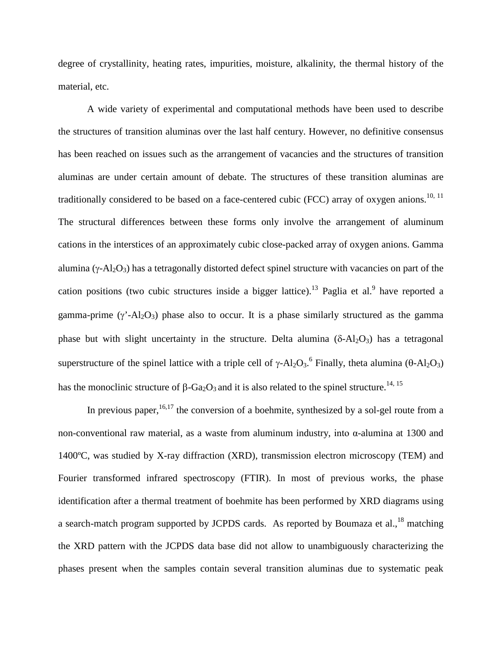degree of crystallinity, heating rates, impurities, moisture, alkalinity, the thermal history of the material, etc.

A wide variety of experimental and computational methods have been used to describe the structures of transition aluminas over the last half century. However, no definitive consensus has been reached on issues such as the arrangement of vacancies and the structures of transition aluminas are under certain amount of debate. The structures of these transition aluminas are traditionally considered to be based on a face-centered cubic (FCC) array of oxygen anions.<sup>10, 11</sup> The structural differences between these forms only involve the arrangement of aluminum cations in the interstices of an approximately cubic close-packed array of oxygen anions. Gamma alumina ( $\gamma$ -Al<sub>2</sub>O<sub>3</sub>) has a tetragonally distorted defect spinel structure with vacancies on part of the cation positions (two cubic structures inside a bigger lattice).<sup>13</sup> Paglia et al.<sup>9</sup> have reported a gamma-prime  $(\gamma' - Al_2O_3)$  phase also to occur. It is a phase similarly structured as the gamma phase but with slight uncertainty in the structure. Delta alumina  $(δ-Al<sub>2</sub>O<sub>3</sub>)$  has a tetragonal superstructure of the spinel lattice with a triple cell of  $\gamma$ -Al<sub>2</sub>O<sub>3</sub>.<sup>6</sup> Finally, theta alumina ( $\theta$ -Al<sub>2</sub>O<sub>3</sub>) has the monoclinic structure of β-Ga<sub>2</sub>O<sub>3</sub> and it is also related to the spinel structure.<sup>14, 15</sup>

In previous paper,  $16,17$  the conversion of a boehmite, synthesized by a sol-gel route from a non-conventional raw material, as a waste from aluminum industry, into α-alumina at 1300 and 1400ºC, was studied by X-ray diffraction (XRD), transmission electron microscopy (TEM) and Fourier transformed infrared spectroscopy (FTIR). In most of previous works, the phase identification after a thermal treatment of boehmite has been performed by XRD diagrams using a search-match program supported by JCPDS cards. As reported by Boumaza et al.,<sup>18</sup> matching the XRD pattern with the JCPDS data base did not allow to unambiguously characterizing the phases present when the samples contain several transition aluminas due to systematic peak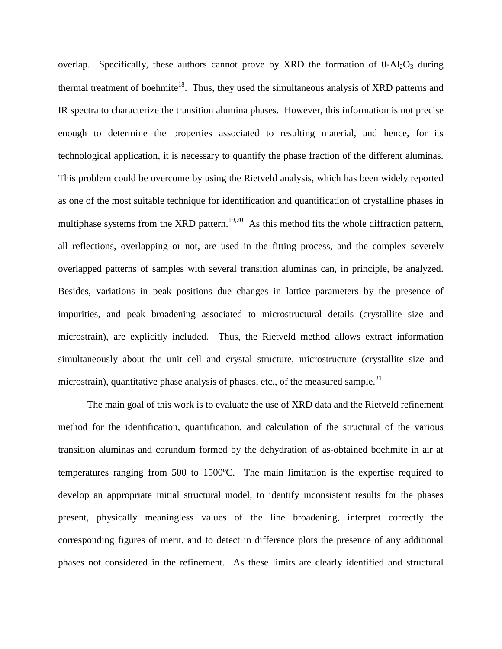overlap. Specifically, these authors cannot prove by XRD the formation of  $\theta$ -Al<sub>2</sub>O<sub>3</sub> during thermal treatment of boehmite<sup>18</sup>. Thus, they used the simultaneous analysis of XRD patterns and IR spectra to characterize the transition alumina phases. However, this information is not precise enough to determine the properties associated to resulting material, and hence, for its technological application, it is necessary to quantify the phase fraction of the different aluminas. This problem could be overcome by using the Rietveld analysis, which has been widely reported as one of the most suitable technique for identification and quantification of crystalline phases in multiphase systems from the XRD pattern.<sup>19,20</sup> As this method fits the whole diffraction pattern, all reflections, overlapping or not, are used in the fitting process, and the complex severely overlapped patterns of samples with several transition aluminas can, in principle, be analyzed. Besides, variations in peak positions due changes in lattice parameters by the presence of impurities, and peak broadening associated to microstructural details (crystallite size and microstrain), are explicitly included. Thus, the Rietveld method allows extract information simultaneously about the unit cell and crystal structure, microstructure (crystallite size and microstrain), quantitative phase analysis of phases, etc., of the measured sample.<sup>21</sup>

The main goal of this work is to evaluate the use of XRD data and the Rietveld refinement method for the identification, quantification, and calculation of the structural of the various transition aluminas and corundum formed by the dehydration of as-obtained boehmite in air at temperatures ranging from 500 to 1500ºC. The main limitation is the expertise required to develop an appropriate initial structural model, to identify inconsistent results for the phases present, physically meaningless values of the line broadening, interpret correctly the corresponding figures of merit, and to detect in difference plots the presence of any additional phases not considered in the refinement. As these limits are clearly identified and structural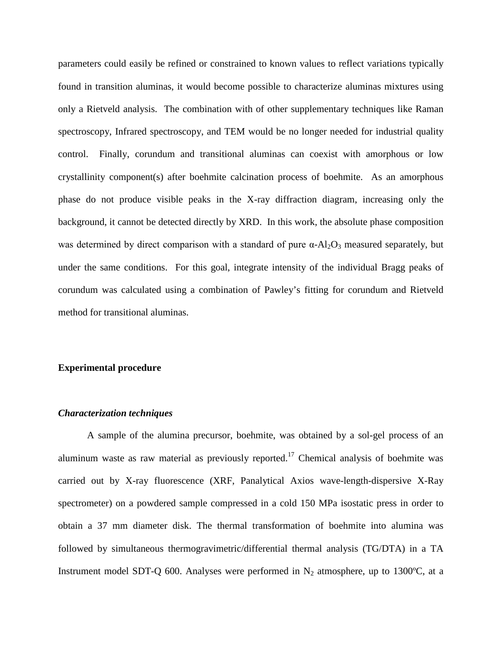parameters could easily be refined or constrained to known values to reflect variations typically found in transition aluminas, it would become possible to characterize aluminas mixtures using only a Rietveld analysis. The combination with of other supplementary techniques like Raman spectroscopy, Infrared spectroscopy, and TEM would be no longer needed for industrial quality control. Finally, corundum and transitional aluminas can coexist with amorphous or low crystallinity component(s) after boehmite calcination process of boehmite. As an amorphous phase do not produce visible peaks in the X-ray diffraction diagram, increasing only the background, it cannot be detected directly by XRD. In this work, the absolute phase composition was determined by direct comparison with a standard of pure  $\alpha$ -Al<sub>2</sub>O<sub>3</sub> measured separately, but under the same conditions. For this goal, integrate intensity of the individual Bragg peaks of corundum was calculated using a combination of Pawley's fitting for corundum and Rietveld method for transitional aluminas.

### **Experimental procedure**

#### *Characterization techniques*

A sample of the alumina precursor, boehmite, was obtained by a sol-gel process of an aluminum waste as raw material as previously reported.<sup>17</sup> Chemical analysis of boehmite was carried out by X-ray fluorescence (XRF, Panalytical Axios wave-length-dispersive X-Ray spectrometer) on a powdered sample compressed in a cold 150 MPa isostatic press in order to obtain a 37 mm diameter disk. The thermal transformation of boehmite into alumina was followed by simultaneous thermogravimetric/differential thermal analysis (TG/DTA) in a TA Instrument model SDT-Q 600. Analyses were performed in  $N_2$  atmosphere, up to 1300°C, at a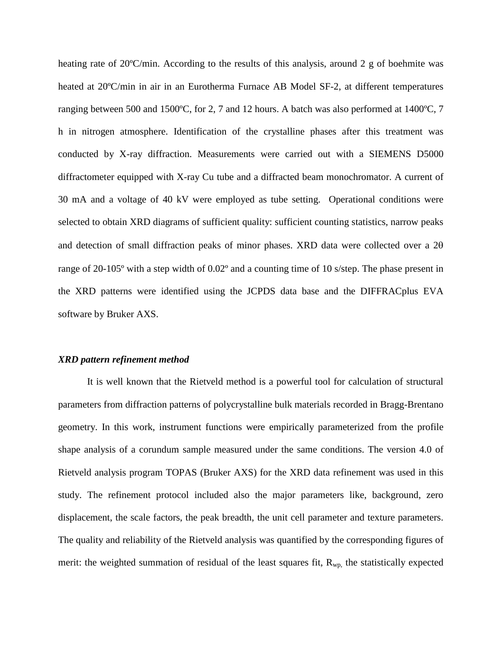heating rate of 20°C/min. According to the results of this analysis, around 2 g of boehmite was heated at 20°C/min in air in an Eurotherma Furnace AB Model SF-2, at different temperatures ranging between 500 and 1500ºC, for 2, 7 and 12 hours. A batch was also performed at 1400ºC, 7 h in nitrogen atmosphere. Identification of the crystalline phases after this treatment was conducted by X-ray diffraction. Measurements were carried out with a SIEMENS D5000 diffractometer equipped with X-ray Cu tube and a diffracted beam monochromator. A current of 30 mA and a voltage of 40 kV were employed as tube setting. Operational conditions were selected to obtain XRD diagrams of sufficient quality: sufficient counting statistics, narrow peaks and detection of small diffraction peaks of minor phases. XRD data were collected over a 2θ range of 20-105º with a step width of 0.02º and a counting time of 10 s/step. The phase present in the XRD patterns were identified using the JCPDS data base and the DIFFRACplus EVA software by Bruker AXS.

#### *XRD pattern refinement method*

It is well known that the Rietveld method is a powerful tool for calculation of structural parameters from diffraction patterns of polycrystalline bulk materials recorded in Bragg-Brentano geometry. In this work, instrument functions were empirically parameterized from the profile shape analysis of a corundum sample measured under the same conditions. The version 4.0 of Rietveld analysis program TOPAS (Bruker AXS) for the XRD data refinement was used in this study. The refinement protocol included also the major parameters like, background, zero displacement, the scale factors, the peak breadth, the unit cell parameter and texture parameters. The quality and reliability of the Rietveld analysis was quantified by the corresponding figures of merit: the weighted summation of residual of the least squares fit,  $R_{wp}$ , the statistically expected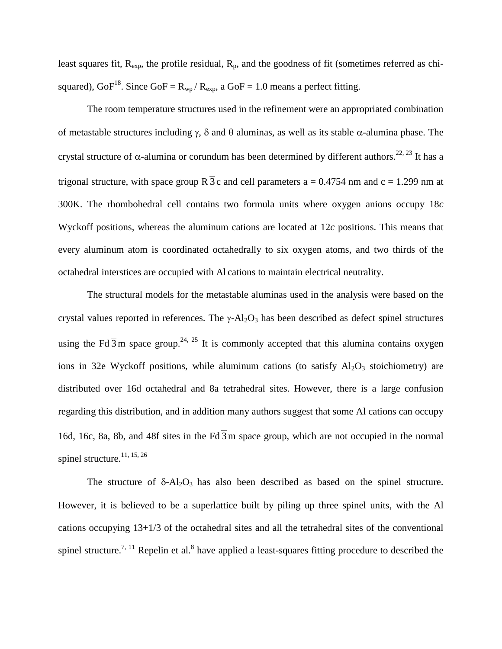least squares fit,  $R_{\text{exp}}$ , the profile residual,  $R_p$ , and the goodness of fit (sometimes referred as chisquared),  $GoF^{18}$ . Since  $GoF = R_{wp}/R_{exp}$ , a  $GoF = 1.0$  means a perfect fitting.

The room temperature structures used in the refinement were an appropriated combination of metastable structures including γ, δ and θ aluminas, as well as its stable α-alumina phase. The crystal structure of α-alumina or corundum has been determined by different authors.<sup>22, 23</sup> It has a trigonal structure, with space group  $R\bar{3}c$  and cell parameters a = 0.4754 nm and c = 1.299 nm at 300K. The rhombohedral cell contains two formula units where oxygen anions occupy 18*c*  Wyckoff positions, whereas the aluminum cations are located at 12*c* positions. This means that every aluminum atom is coordinated octahedrally to six oxygen atoms, and two thirds of the octahedral interstices are occupied with Al cations to maintain electrical neutrality.

The structural models for the metastable aluminas used in the analysis were based on the crystal values reported in references. The  $\gamma$ -Al<sub>2</sub>O<sub>3</sub> has been described as defect spinel structures using the Fd  $\overline{3}$ m space group.<sup>24, 25</sup> It is commonly accepted that this alumina contains oxygen ions in 32e Wyckoff positions, while aluminum cations (to satisfy  $Al_2O_3$  stoichiometry) are distributed over 16d octahedral and 8a tetrahedral sites. However, there is a large confusion regarding this distribution, and in addition many authors suggest that some Al cations can occupy 16d, 16c, 8a, 8b, and 48f sites in the Fd  $\overline{3}$  m space group, which are not occupied in the normal spinel structure.<sup>11, 15, 26</sup>

The structure of  $\delta$ -Al<sub>2</sub>O<sub>3</sub> has also been described as based on the spinel structure. However, it is believed to be a superlattice built by piling up three spinel units, with the Al cations occupying 13+1/3 of the octahedral sites and all the tetrahedral sites of the conventional spinel structure.<sup>7, 11</sup> Repelin et al.<sup>8</sup> have applied a least-squares fitting procedure to described the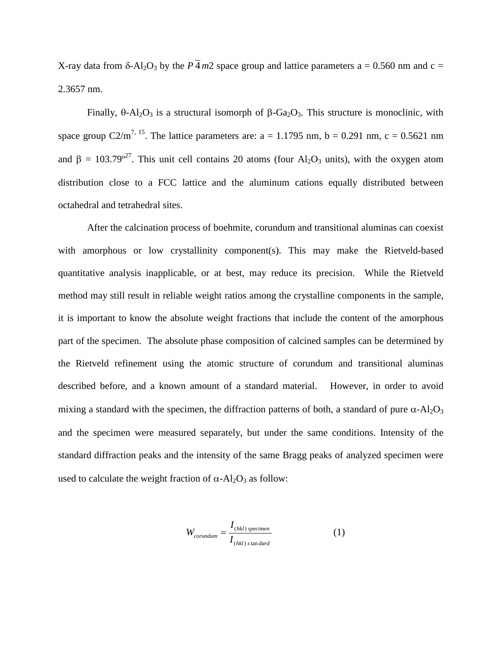X-ray data from  $\delta$ -Al<sub>2</sub>O<sub>3</sub> by the  $P\overline{4}$  *m*2 space group and lattice parameters a = 0.560 nm and c = 2.3657 nm.

Finally,  $\theta$ -Al<sub>2</sub>O<sub>3</sub> is a structural isomorph of β-Ga<sub>2</sub>O<sub>3</sub>. This structure is monoclinic, with space group  $C2/m^{7}$ , <sup>15</sup>. The lattice parameters are: a = 1.1795 nm, b = 0.291 nm, c = 0.5621 nm and  $\beta = 103.79^{\circ 27}$ . This unit cell contains 20 atoms (four Al<sub>2</sub>O<sub>3</sub> units), with the oxygen atom distribution close to a FCC lattice and the aluminum cations equally distributed between octahedral and tetrahedral sites.

After the calcination process of boehmite, corundum and transitional aluminas can coexist with amorphous or low crystallinity component(s). This may make the Rietveld-based quantitative analysis inapplicable, or at best, may reduce its precision. While the Rietveld method may still result in reliable weight ratios among the crystalline components in the sample, it is important to know the absolute weight fractions that include the content of the amorphous part of the specimen. The absolute phase composition of calcined samples can be determined by the Rietveld refinement using the atomic structure of corundum and transitional aluminas described before, and a known amount of a standard material. However, in order to avoid mixing a standard with the specimen, the diffraction patterns of both, a standard of pure  $\alpha$ -Al<sub>2</sub>O<sub>3</sub> and the specimen were measured separately, but under the same conditions. Intensity of the standard diffraction peaks and the intensity of the same Bragg peaks of analyzed specimen were used to calculate the weight fraction of  $\alpha$ -Al<sub>2</sub>O<sub>3</sub> as follow:

$$
W_{corundum} = \frac{I_{(hkl) \, specimen}}{I_{(hkl) \, standard}}
$$
 (1)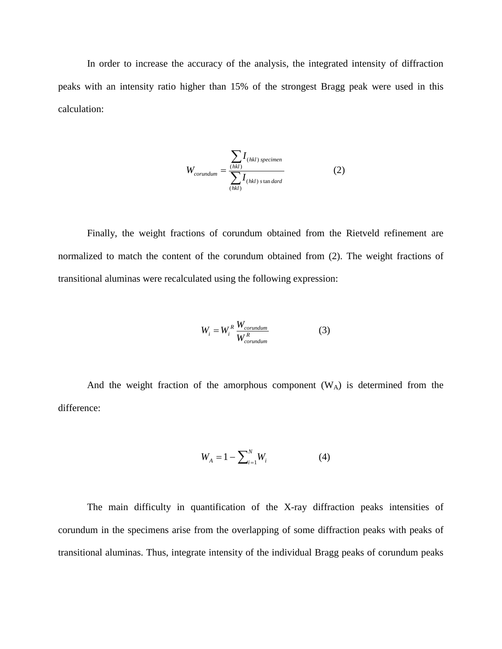In order to increase the accuracy of the analysis, the integrated intensity of diffraction peaks with an intensity ratio higher than 15% of the strongest Bragg peak were used in this calculation:

$$
W_{corundum} = \frac{\sum_{(hkl)} I_{(hkl) \, specimen}}{\sum_{(hkl)} I_{(hkl) \, standard}} \tag{2}
$$

Finally, the weight fractions of corundum obtained from the Rietveld refinement are normalized to match the content of the corundum obtained from (2). The weight fractions of transitional aluminas were recalculated using the following expression:

$$
W_i = W_i^R \frac{W_{corundum}}{W_{corundum}^R}
$$
 (3)

And the weight fraction of the amorphous component  $(W_A)$  is determined from the difference:

$$
W_A = 1 - \sum_{i=1}^{N} W_i
$$
 (4)

The main difficulty in quantification of the X-ray diffraction peaks intensities of corundum in the specimens arise from the overlapping of some diffraction peaks with peaks of transitional aluminas. Thus, integrate intensity of the individual Bragg peaks of corundum peaks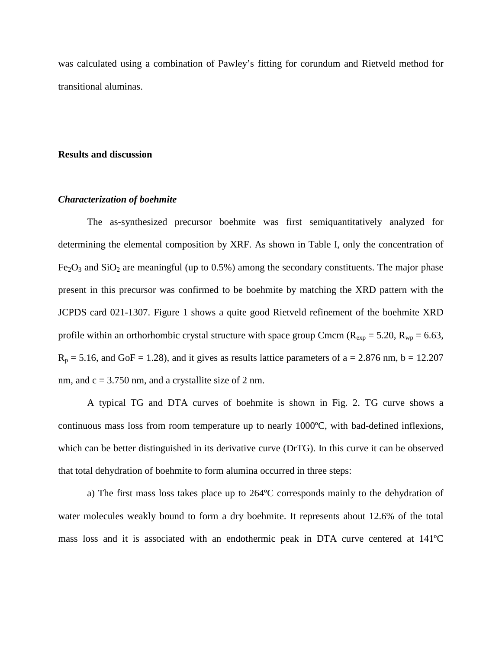was calculated using a combination of Pawley's fitting for corundum and Rietveld method for transitional aluminas.

#### **Results and discussion**

#### *Characterization of boehmite*

The as-synthesized precursor boehmite was first semiquantitatively analyzed for determining the elemental composition by XRF. As shown in Table I, only the concentration of  $Fe<sub>2</sub>O<sub>3</sub>$  and  $SiO<sub>2</sub>$  are meaningful (up to 0.5%) among the secondary constituents. The major phase present in this precursor was confirmed to be boehmite by matching the XRD pattern with the JCPDS card 021-1307. Figure 1 shows a quite good Rietveld refinement of the boehmite XRD profile within an orthorhombic crystal structure with space group Cmcm ( $R_{exp} = 5.20$ ,  $R_{wp} = 6.63$ ,  $R_p = 5.16$ , and GoF = 1.28), and it gives as results lattice parameters of a = 2.876 nm, b = 12.207 nm, and  $c = 3.750$  nm, and a crystallite size of 2 nm.

A typical TG and DTA curves of boehmite is shown in Fig. 2. TG curve shows a continuous mass loss from room temperature up to nearly 1000ºC, with bad-defined inflexions, which can be better distinguished in its derivative curve (DrTG). In this curve it can be observed that total dehydration of boehmite to form alumina occurred in three steps:

a) The first mass loss takes place up to 264ºC corresponds mainly to the dehydration of water molecules weakly bound to form a dry boehmite. It represents about 12.6% of the total mass loss and it is associated with an endothermic peak in DTA curve centered at 141ºC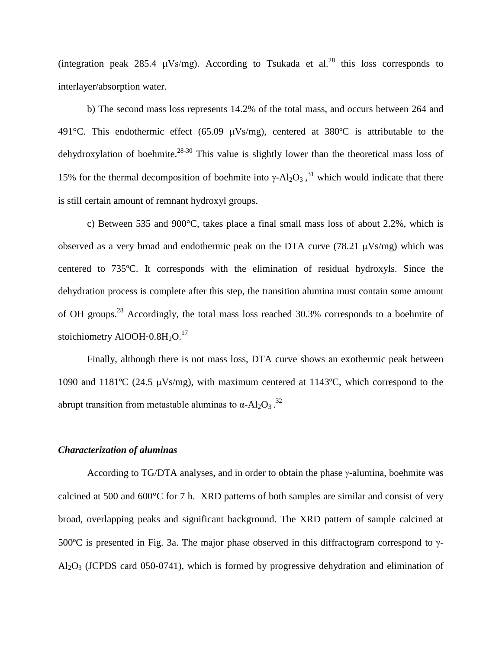(integration peak 285.4  $\mu$ Vs/mg). According to Tsukada et al.<sup>28</sup> this loss corresponds to interlayer/absorption water.

b) The second mass loss represents 14.2% of the total mass, and occurs between 264 and 491 $^{\circ}$ C. This endothermic effect (65.09  $\mu$ Vs/mg), centered at 380 $^{\circ}$ C is attributable to the dehydroxylation of boehmite.<sup>28-30</sup> This value is slightly lower than the theoretical mass loss of 15% for the thermal decomposition of boehmite into γ-Al<sub>2</sub>O<sub>3</sub>,<sup>31</sup> which would indicate that there is still certain amount of remnant hydroxyl groups.

c) Between 535 and 900°C, takes place a final small mass loss of about 2.2%, which is observed as a very broad and endothermic peak on the DTA curve (78.21  $\mu$ Vs/mg) which was centered to 735ºC. It corresponds with the elimination of residual hydroxyls. Since the dehydration process is complete after this step, the transition alumina must contain some amount of OH groups.<sup>28</sup> Accordingly, the total mass loss reached 30.3% corresponds to a boehmite of stoichiometry AlOOH $\cdot$ 0.8H $_2$ O.<sup>17</sup>

Finally, although there is not mass loss, DTA curve shows an exothermic peak between 1090 and 1181<sup>o</sup>C (24.5  $\mu$ Vs/mg), with maximum centered at 1143<sup>o</sup>C, which correspond to the abrupt transition from metastable aluminas to  $\alpha$ -Al<sub>2</sub>O<sub>3</sub>.<sup>32</sup>

### *Characterization of aluminas*

According to TG/DTA analyses, and in order to obtain the phase γ-alumina, boehmite was calcined at 500 and 600°C for 7 h. XRD patterns of both samples are similar and consist of very broad, overlapping peaks and significant background. The XRD pattern of sample calcined at 500ºC is presented in Fig. 3a. The major phase observed in this diffractogram correspond to γ- $Al_2O_3$  (JCPDS card 050-0741), which is formed by progressive dehydration and elimination of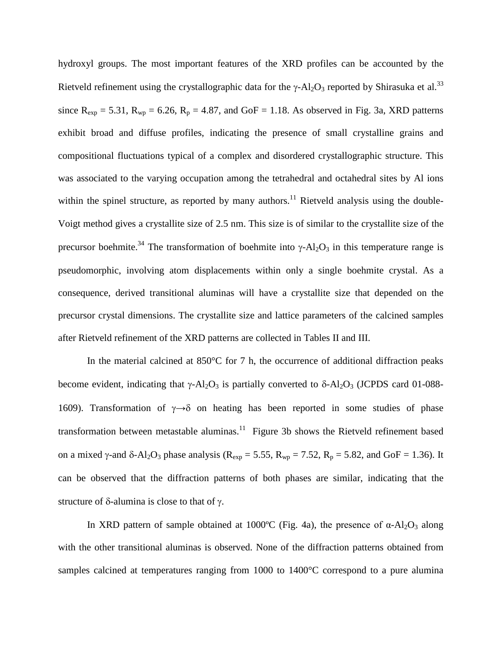hydroxyl groups. The most important features of the XRD profiles can be accounted by the Rietveld refinement using the crystallographic data for the  $\gamma$ -Al<sub>2</sub>O<sub>3</sub> reported by Shirasuka et al.<sup>33</sup> since  $R_{exp} = 5.31$ ,  $R_{wp} = 6.26$ ,  $R_p = 4.87$ , and GoF = 1.18. As observed in Fig. 3a, XRD patterns exhibit broad and diffuse profiles, indicating the presence of small crystalline grains and compositional fluctuations typical of a complex and disordered crystallographic structure. This was associated to the varying occupation among the tetrahedral and octahedral sites by Al ions within the spinel structure, as reported by many authors.<sup>11</sup> Rietveld analysis using the double-Voigt method gives a crystallite size of 2.5 nm. This size is of similar to the crystallite size of the precursor boehmite.<sup>34</sup> The transformation of boehmite into γ-Al<sub>2</sub>O<sub>3</sub> in this temperature range is pseudomorphic, involving atom displacements within only a single boehmite crystal. As a consequence, derived transitional aluminas will have a crystallite size that depended on the precursor crystal dimensions. The crystallite size and lattice parameters of the calcined samples after Rietveld refinement of the XRD patterns are collected in Tables II and III.

In the material calcined at  $850^{\circ}$ C for 7 h, the occurrence of additional diffraction peaks become evident, indicating that  $\gamma$ -Al<sub>2</sub>O<sub>3</sub> is partially converted to  $\delta$ -Al<sub>2</sub>O<sub>3</sub> (JCPDS card 01-088-1609). Transformation of  $\gamma \rightarrow \delta$  on heating has been reported in some studies of phase transformation between metastable aluminas. $11$  Figure 3b shows the Rietveld refinement based on a mixed  $\gamma$ -and δ-Al<sub>2</sub>O<sub>3</sub> phase analysis (R<sub>exp</sub> = 5.55, R<sub>wp</sub> = 7.52, R<sub>p</sub> = 5.82, and GoF = 1.36). It can be observed that the diffraction patterns of both phases are similar, indicating that the structure of δ-alumina is close to that of γ.

In XRD pattern of sample obtained at 1000°C (Fig. 4a), the presence of  $\alpha$ -Al<sub>2</sub>O<sub>3</sub> along with the other transitional aluminas is observed. None of the diffraction patterns obtained from samples calcined at temperatures ranging from 1000 to 1400°C correspond to a pure alumina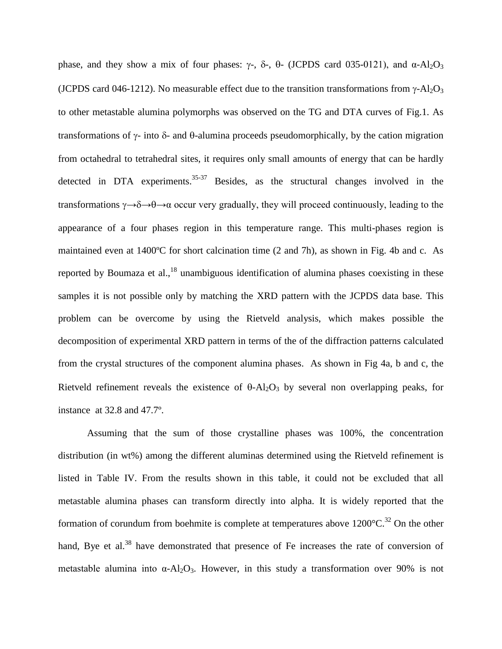phase, and they show a mix of four phases:  $\gamma$ -, δ-, θ- (JCPDS card 035-0121), and α-Al<sub>2</sub>O<sub>3</sub> (JCPDS card 046-1212). No measurable effect due to the transition transformations from  $\gamma$ -Al<sub>2</sub>O<sub>3</sub> to other metastable alumina polymorphs was observed on the TG and DTA curves of Fig.1. As transformations of γ- into δ- and θ-alumina proceeds pseudomorphically, by the cation migration from octahedral to tetrahedral sites, it requires only small amounts of energy that can be hardly detected in DTA experiments.<sup>35-37</sup> Besides, as the structural changes involved in the transformations  $\gamma \rightarrow \delta \rightarrow 0$  occur very gradually, they will proceed continuously, leading to the appearance of a four phases region in this temperature range. This multi-phases region is maintained even at 1400ºC for short calcination time (2 and 7h), as shown in Fig. 4b and c. As reported by Boumaza et al., $^{18}$  unambiguous identification of alumina phases coexisting in these samples it is not possible only by matching the XRD pattern with the JCPDS data base. This problem can be overcome by using the Rietveld analysis, which makes possible the decomposition of experimental XRD pattern in terms of the of the diffraction patterns calculated from the crystal structures of the component alumina phases. As shown in Fig 4a, b and c, the Rietveld refinement reveals the existence of  $\theta$ -Al<sub>2</sub>O<sub>3</sub> by several non overlapping peaks, for instance at 32.8 and 47.7º.

Assuming that the sum of those crystalline phases was 100%, the concentration distribution (in wt%) among the different aluminas determined using the Rietveld refinement is listed in Table IV. From the results shown in this table, it could not be excluded that all metastable alumina phases can transform directly into alpha. It is widely reported that the formation of corundum from boehmite is complete at temperatures above  $1200^{\circ}C^{32}$  On the other hand, Bye et al.<sup>38</sup> have demonstrated that presence of Fe increases the rate of conversion of metastable alumina into  $\alpha$ -Al<sub>2</sub>O<sub>3</sub>. However, in this study a transformation over 90% is not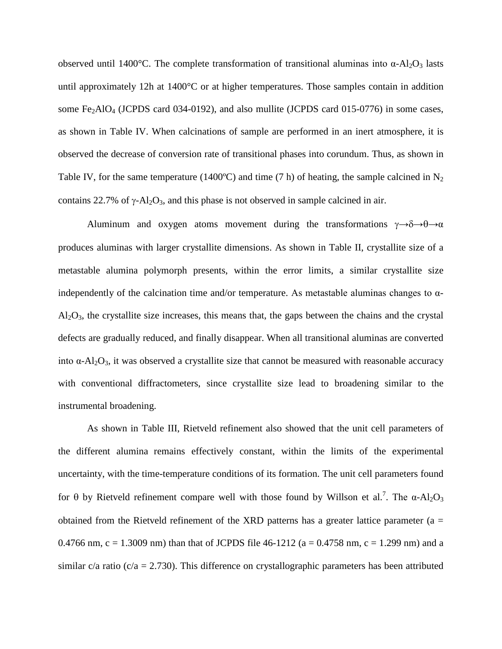observed until 1400°C. The complete transformation of transitional aluminas into  $\alpha$ -Al<sub>2</sub>O<sub>3</sub> lasts until approximately 12h at 1400°C or at higher temperatures. Those samples contain in addition some Fe<sub>2</sub>AlO<sub>4</sub> (JCPDS card 034-0192), and also mullite (JCPDS card 015-0776) in some cases, as shown in Table IV. When calcinations of sample are performed in an inert atmosphere, it is observed the decrease of conversion rate of transitional phases into corundum. Thus, as shown in Table IV, for the same temperature (1400°C) and time (7 h) of heating, the sample calcined in  $N_2$ contains 22.7% of  $\gamma$ -Al<sub>2</sub>O<sub>3</sub>, and this phase is not observed in sample calcined in air.

Aluminum and oxygen atoms movement during the transformations  $\gamma \rightarrow \delta \rightarrow \theta \rightarrow \alpha$ produces aluminas with larger crystallite dimensions. As shown in Table II, crystallite size of a metastable alumina polymorph presents, within the error limits, a similar crystallite size independently of the calcination time and/or temperature. As metastable aluminas changes to  $\alpha$ - $Al_2O_3$ , the crystallite size increases, this means that, the gaps between the chains and the crystal defects are gradually reduced, and finally disappear. When all transitional aluminas are converted into  $\alpha$ -Al<sub>2</sub>O<sub>3</sub>, it was observed a crystallite size that cannot be measured with reasonable accuracy with conventional diffractometers, since crystallite size lead to broadening similar to the instrumental broadening.

As shown in Table III, Rietveld refinement also showed that the unit cell parameters of the different alumina remains effectively constant, within the limits of the experimental uncertainty, with the time-temperature conditions of its formation. The unit cell parameters found for θ by Rietveld refinement compare well with those found by Willson et al.<sup>7</sup>. The α-Al<sub>2</sub>O<sub>3</sub> obtained from the Rietveld refinement of the XRD patterns has a greater lattice parameter ( $a =$ 0.4766 nm, c = 1.3009 nm) than that of JCPDS file 46-1212 ( $a = 0.4758$  nm, c = 1.299 nm) and a similar c/a ratio ( $c/a = 2.730$ ). This difference on crystallographic parameters has been attributed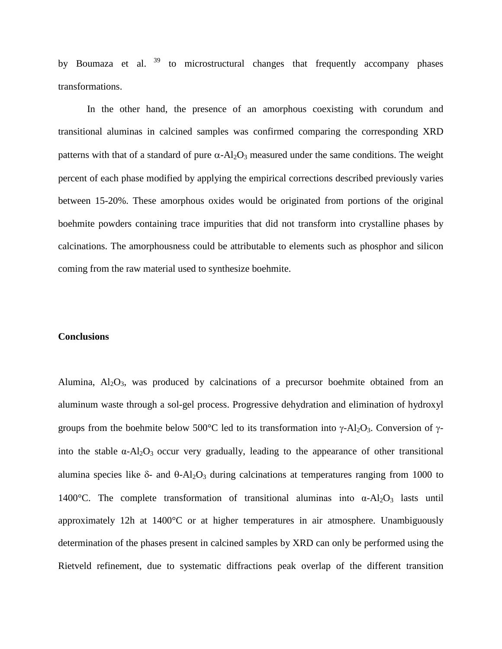by Boumaza et al.  $39$  to microstructural changes that frequently accompany phases transformations.

In the other hand, the presence of an amorphous coexisting with corundum and transitional aluminas in calcined samples was confirmed comparing the corresponding XRD patterns with that of a standard of pure  $\alpha$ -Al<sub>2</sub>O<sub>3</sub> measured under the same conditions. The weight percent of each phase modified by applying the empirical corrections described previously varies between 15-20%. These amorphous oxides would be originated from portions of the original boehmite powders containing trace impurities that did not transform into crystalline phases by calcinations. The amorphousness could be attributable to elements such as phosphor and silicon coming from the raw material used to synthesize boehmite.

#### **Conclusions**

Alumina,  $Al_2O_3$ , was produced by calcinations of a precursor boehmite obtained from an aluminum waste through a sol-gel process. Progressive dehydration and elimination of hydroxyl groups from the boehmite below 500°C led to its transformation into γ-Al<sub>2</sub>O<sub>3</sub>. Conversion of γinto the stable  $\alpha$ -Al<sub>2</sub>O<sub>3</sub> occur very gradually, leading to the appearance of other transitional alumina species like  $\delta$ - and  $\theta$ -Al<sub>2</sub>O<sub>3</sub> during calcinations at temperatures ranging from 1000 to 1400°C. The complete transformation of transitional aluminas into  $\alpha$ -Al<sub>2</sub>O<sub>3</sub> lasts until approximately 12h at 1400°C or at higher temperatures in air atmosphere. Unambiguously determination of the phases present in calcined samples by XRD can only be performed using the Rietveld refinement, due to systematic diffractions peak overlap of the different transition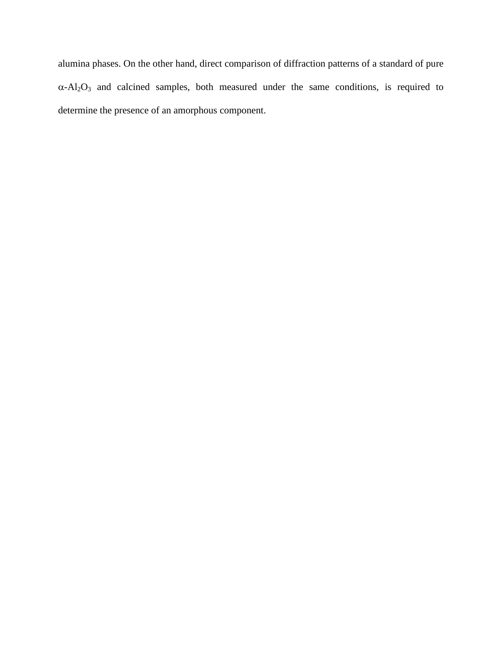alumina phases. On the other hand, direct comparison of diffraction patterns of a standard of pure  $\alpha$ -Al<sub>2</sub>O<sub>3</sub> and calcined samples, both measured under the same conditions, is required to determine the presence of an amorphous component.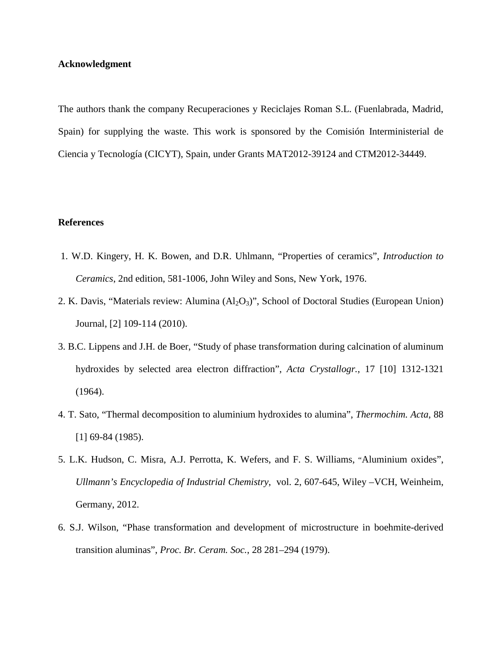# **Acknowledgment**

The authors thank the company Recuperaciones y Reciclajes Roman S.L. (Fuenlabrada, Madrid, Spain) for supplying the waste. This work is sponsored by the Comisión Interministerial de Ciencia y Tecnología (CICYT), Spain, under Grants MAT2012-39124 and CTM2012-34449.

## **References**

- 1. W.D. Kingery, H. K. Bowen, and D.R. Uhlmann, "Properties of ceramics", *Introduction to Ceramics*, 2nd edition, 581-1006, John Wiley and Sons, New York, 1976.
- 2. K. Davis, "Materials review: Alumina (Al<sub>2</sub>O<sub>3</sub>)", School of Doctoral Studies (European Union) Journal, [2] 109-114 (2010).
- 3. B.C. Lippens and J.H. de Boer, "Study of phase transformation during calcination of aluminum hydroxides by selected area electron diffraction", *Acta Crystallogr.*, 17 [10] 1312-1321 (1964).
- 4. T. Sato, "Thermal decomposition to aluminium hydroxides to alumina", *Thermochim. Acta*, 88 [1] 69-84 (1985).
- 5. L.K. Hudson, C. Misra, A.J. Perrotta, K. Wefers, and F. S. Williams, "Aluminium oxides", *Ullmann's Encyclopedia of Industrial Chemistry*, vol. 2, 607-645, Wiley –VCH, Weinheim, Germany, 2012.
- 6. S.J. Wilson, "Phase transformation and development of microstructure in boehmite-derived transition aluminas", *Proc. Br. Ceram. Soc.*, 28 281–294 (1979).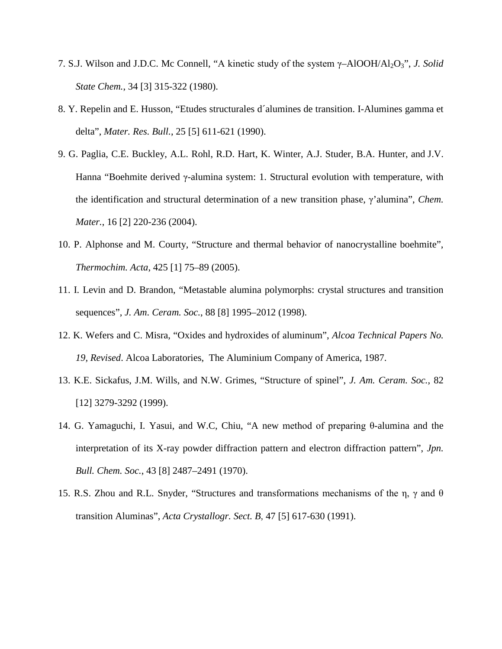- 7. S.J. Wilson and J.D.C. Mc Connell, "A kinetic study of the system γ–AlOOH/Al2O3", *J. Solid State Chem.*, 34 [3] 315-322 (1980).
- 8. Y. Repelin and E. Husson, "Etudes structurales d´alumines de transition. I-Alumines gamma et delta", *Mater. Res. Bull.*, 25 [5] 611-621 (1990).
- 9. G. Paglia, C.E. Buckley, A.L. Rohl, R.D. Hart, K. Winter, A.J. Studer, B.A. Hunter, and J.V. Hanna "Boehmite derived γ-alumina system: 1. Structural evolution with temperature, with the identification and structural determination of a new transition phase, γ'alumina", *Chem. Mater.*, 16 [2] 220-236 (2004).
- 10. P. Alphonse and M. Courty, "Structure and thermal behavior of nanocrystalline boehmite", *Thermochim. Acta*, 425 [1] 75–89 (2005).
- 11. I. Levin and D. Brandon, "Metastable alumina polymorphs: crystal structures and transition sequences", *J. Am. Ceram. Soc.*, 88 [8] 1995–2012 (1998).
- 12. K. Wefers and C. Misra, "Oxides and hydroxides of aluminum", *Alcoa Technical Papers No. 19, Revised*. Alcoa Laboratories, The Aluminium Company of America, 1987.
- 13. K.E. Sickafus, J.M. Wills, and N.W. Grimes, "Structure of spinel", *J. Am. Ceram. Soc.*, 82 [12] 3279-3292 (1999).
- 14. G. Yamaguchi, I. Yasui, and W.C, Chiu, "A new method of preparing θ-alumina and the interpretation of its X-ray powder diffraction pattern and electron diffraction pattern", *Jpn. Bull. Chem. Soc.*, 43 [8] 2487–2491 (1970).
- 15. R.S. Zhou and R.L. Snyder, "Structures and transformations mechanisms of the η, γ and θ transition Aluminas", *Acta Crystallogr. Sect. B*, 47 [5] 617-630 (1991).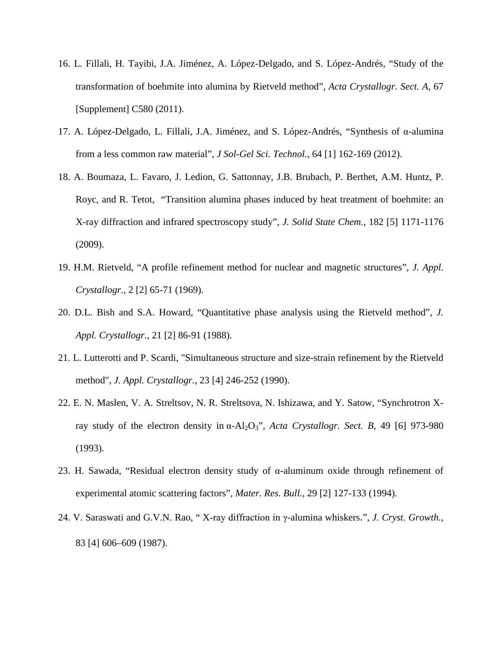- 16. L. Fillali, H. Tayibi, J.A. Jiménez, A. López-Delgado, and S. López-Andrés, "Study of the transformation of boehmite into alumina by Rietveld method", *Acta Crystallogr. Sect. A*, 67 [Supplement] C580 (2011).
- 17. A. López-Delgado, L. Fillali, J.A. Jiménez, and S. López-Andrés, "Synthesis of α-alumina from a less common raw material", *J Sol-Gel Sci. Technol.*, 64 [1] 162-169 (2012).
- 18. A. Boumaza, L. Favaro, J. Ledion, G. Sattonnay, J.B. Brubach, P. Berthet, A.M. Huntz, P. Royc, and R. Tetot, "Transition alumina phases induced by heat treatment of boehmite: an X-ray diffraction and infrared spectroscopy study", *J. Solid State Chem.*, 182 [5] 1171-1176 (2009).
- 19. H.M. Rietveld, "A profile refinement method for nuclear and magnetic structures", *J. Appl. Crystallogr.*, 2 [2] 65-71 (1969).
- 20. D.L. Bish and S.A. Howard, "Quantitative phase analysis using the Rietveld method", *J. Appl. Crystallogr.*, 21 [2] 86-91 (1988).
- 21. L. Lutterotti and P. Scardi, "Simultaneous structure and size-strain refinement by the Rietveld method", *J. Appl. Crystallogr.*, 23 [4] 246-252 (1990).
- 22. E. N. Maslen, V. A. Streltsov, N. R. Streltsova, N. Ishizawa, and Y. Satow, "Synchrotron Xray study of the electron density in α-Al2O3", *Acta Crystallogr. Sect. B*, 49 [6] 973-980 (1993).
- 23. H. Sawada, "Residual electron density study of α-aluminum oxide through refinement of experimental atomic scattering factors", *Mater. Res. Bull.*, 29 [2] 127-133 (1994).
- 24. V. Saraswati and G.V.N. Rao, " X-ray diffraction in γ-alumina whiskers.", *J. Cryst. Growth.*, 83 [4] 606–609 (1987).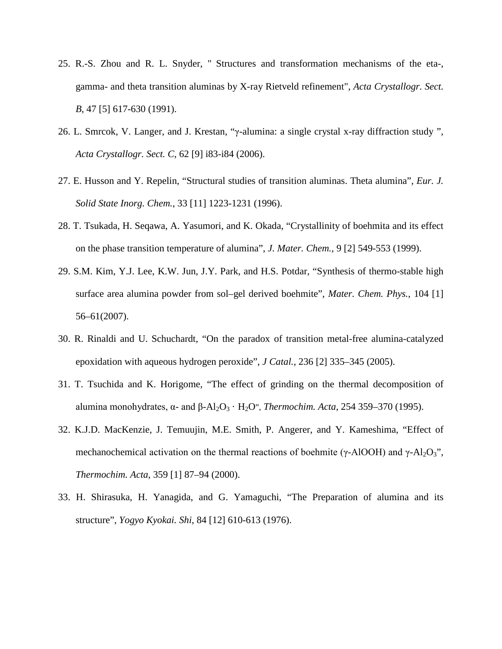- 25. R.-S. Zhou and R. L. Snyder, " Structures and transformation mechanisms of the eta-, gamma- and theta transition aluminas by X-ray Rietveld refinement", *Acta Crystallogr. Sect. B*, 47 [5] 617-630 (1991).
- 26. L. Smrcok, V. Langer, and J. Krestan, "γ-alumina: a single crystal x-ray diffraction study ", *Acta Crystallogr. Sect. C*, 62 [9] i83-i84 (2006).
- 27. E. Husson and Y. Repelin, "Structural studies of transition aluminas. Theta alumina", *[Eur. J.](http://www.crossref.org/openurl?pid=ourl_pearson:964439073&title=Eur.%20J.%20Solid%20State%20Inorg.%20Chem.&volume=33&spage=1223&date=1996)  [Solid State Inorg. Chem.](http://www.crossref.org/openurl?pid=ourl_pearson:964439073&title=Eur.%20J.%20Solid%20State%20Inorg.%20Chem.&volume=33&spage=1223&date=1996)*, 33 [11] 1223-1231 (1996).
- 28. T. Tsukada, H. Seqawa, A. Yasumori, and K. Okada, "Crystallinity of boehmita and its effect on the phase transition temperature of alumina", *J. Mater. Chem.*, 9 [2] 549-553 (1999).
- 29. S.M. Kim, Y.J. Lee, K.W. Jun, J.Y. Park, and H.S. Potdar, "Synthesis of thermo-stable high surface area alumina powder from sol–gel derived boehmite", *Mater. Chem. Phys.*, 104 [1] 56–61(2007).
- 30. R. Rinaldi and U. Schuchardt, "On the paradox of transition metal-free alumina-catalyzed epoxidation with aqueous hydrogen peroxide", *J Catal.*, 236 [2] 335–345 (2005).
- 31. T. Tsuchida and K. Horigome, ["The effect of grinding on the thermal decomposition of](http://www.sciencedirect.com/science/article/pii/004060319402052P)  [alumina monohydrates, α](http://www.sciencedirect.com/science/article/pii/004060319402052P)- and β-Al2O3 · H2O", *Thermochim. Acta*, 254 359–370 (1995).
- 32. K.J.D. MacKenzie, J. Temuujin, M.E. Smith, P. Angerer, and Y. Kameshima, ["Effect of](http://www.sciencedirect.com/science/article/pii/S004060310000513X)  mechanochemical [activation on the thermal reactions of boehmite \(γ](http://www.sciencedirect.com/science/article/pii/S004060310000513X)-AlOOH) and γ-Al<sub>2</sub>O<sub>3</sub>", *Thermochim. Acta*, 359 [1] 87–94 (2000).
- 33. H. Shirasuka, H. Yanagida, and G. Yamaguchi, "The Preparation of alumina and its structure", *Yogyo Kyokai. Shi*, 84 [12] 610-613 (1976).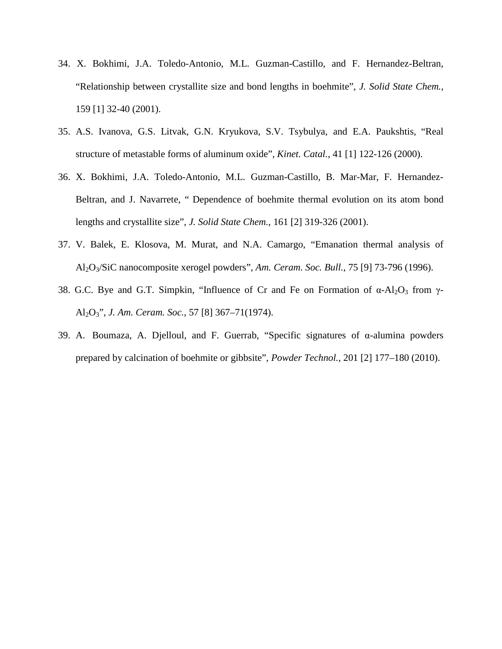- 34. X. Bokhimi, J.A. Toledo-Antonio, M.L. Guzman-Castillo, and F. Hernandez-Beltran, ["Relationship between crystallite size and bond lengths in boehmite"](http://www.sciencedirect.com/science/article/pii/S0022459601991248), *J. Solid State Chem.*, 159 [1] 32-40 (2001).
- 35. A.S. Ivanova, G.S. Litvak, G.N. Kryukova, S.V. Tsybulya, and E.A. Paukshtis, ["Real](http://serials.unibo.it/cgi-ser/start/it/spogli/df-s.tcl?prog_art=7046881&language=ITALIANO&view=articoli)  [structure of metastable forms of aluminum oxide"](http://serials.unibo.it/cgi-ser/start/it/spogli/df-s.tcl?prog_art=7046881&language=ITALIANO&view=articoli), *Kinet. Catal.*, 41 [1] 122-126 (2000).
- 36. X. Bokhimi, J.A. Toledo-Antonio, M.L. Guzman-Castillo, B. Mar-Mar, F. Hernandez-Beltran, and J. Navarrete, " [Dependence of boehmite thermal evolution on its atom bond](http://www.sciencedirect.com/science/article/pii/S002245960199320X)  [lengths and crystallite size"](http://www.sciencedirect.com/science/article/pii/S002245960199320X), *J. Solid State Chem.*, 161 [2] 319-326 (2001).
- 37. V. Balek, E. Klosova, M. Murat, and N.A. Camargo, "Emanation thermal analysis of Al2O3/SiC nanocomposite xerogel powders", *Am. Ceram. Soc. Bull.*, 75 [9] 73-796 (1996).
- 38. G.C. Bye and G.T. Simpkin, "Influence of Cr and Fe on Formation of  $\alpha$ -Al<sub>2</sub>O<sub>3</sub> from  $\gamma$ -Al2O3", *J. Am. Ceram. Soc.*, 57 [8] 367–71(1974).
- 39. A. Boumaza, A. Djelloul, and F. Guerrab, "Specific signatures of α-alumina powders prepared by calcination of boehmite or gibbsite", *Powder Technol.*, 201 [2] 177–180 (2010).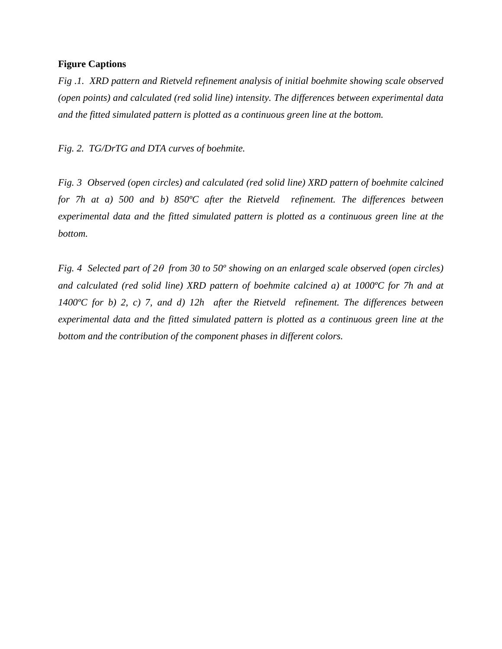### **Figure Captions**

*Fig .1. XRD pattern and Rietveld refinement analysis of initial boehmite showing scale observed (open points) and calculated (red solid line) intensity. The differences between experimental data and the fitted simulated pattern is plotted as a continuous green line at the bottom.*

*Fig. 2. TG/DrTG and DTA curves of boehmite.*

*Fig. 3 Observed (open circles) and calculated (red solid line) XRD pattern of boehmite calcined for 7h at a) 500 and b) 850ºC after the Rietveld refinement. The differences between experimental data and the fitted simulated pattern is plotted as a continuous green line at the bottom.* 

*Fig. 4 Selected part of 2*θ *from 30 to 50º showing on an enlarged scale observed (open circles) and calculated (red solid line) XRD pattern of boehmite calcined a) at 1000ºC for 7h and at 1400ºC for b) 2, c) 7, and d) 12h after the Rietveld refinement. The differences between experimental data and the fitted simulated pattern is plotted as a continuous green line at the bottom and the contribution of the component phases in different colors.*